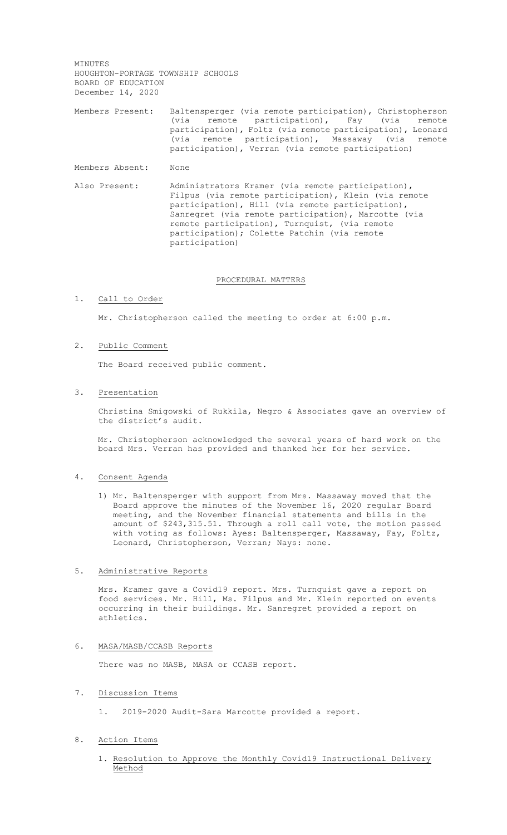MINUTES HOUGHTON-PORTAGE TOWNSHIP SCHOOLS BOARD OF EDUCATION December 14, 2020

Members Present: Baltensperger (via remote participation), Christopherson (via remote participation), Fay (via remote participation), Foltz (via remote participation), Leonard (via remote participation), Massaway (via remote participation), Verran (via remote participation)

Members Absent: None

Also Present: Administrators Kramer (via remote participation), Filpus (via remote participation), Klein (via remote participation), Hill (via remote participation), Sanregret (via remote participation), Marcotte (via remote participation), Turnquist, (via remote participation); Colette Patchin (via remote participation)

#### PROCEDURAL MATTERS

### 1. Call to Order

Mr. Christopherson called the meeting to order at 6:00 p.m.

# 2. Public Comment

The Board received public comment.

#### 3. Presentation

Christina Smigowski of Rukkila, Negro & Associates gave an overview of the district's audit.

Mr. Christopherson acknowledged the several years of hard work on the board Mrs. Verran has provided and thanked her for her service.

### 4. Consent Agenda

1) Mr. Baltensperger with support from Mrs. Massaway moved that the Board approve the minutes of the November 16, 2020 regular Board meeting, and the November financial statements and bills in the amount of \$243,315.51. Through a roll call vote, the motion passed with voting as follows: Ayes: Baltensperger, Massaway, Fay, Foltz, Leonard, Christopherson, Verran; Nays: none.

# 5. Administrative Reports

Mrs. Kramer gave a Covid19 report. Mrs. Turnquist gave a report on food services. Mr. Hill, Ms. Filpus and Mr. Klein reported on events occurring in their buildings. Mr. Sanregret provided a report on athletics.

# 6. MASA/MASB/CCASB Reports

There was no MASB, MASA or CCASB report.

# 7. Discussion Items

1. 2019-2020 Audit-Sara Marcotte provided a report.

# 8. Action Items

1. Resolution to Approve the Monthly Covid19 Instructional Delivery Method